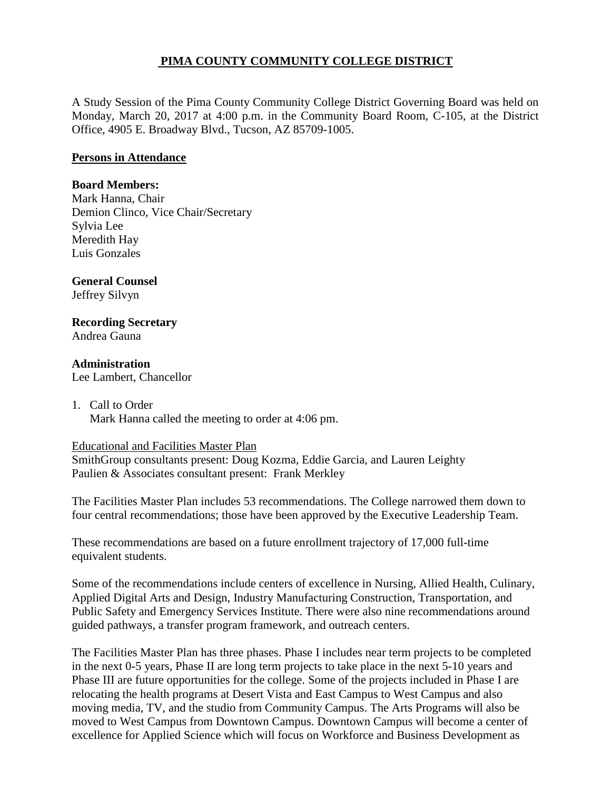## **PIMA COUNTY COMMUNITY COLLEGE DISTRICT**

A Study Session of the Pima County Community College District Governing Board was held on Monday, March 20, 2017 at 4:00 p.m. in the Community Board Room, C-105, at the District Office, 4905 E. Broadway Blvd., Tucson, AZ 85709-1005.

### **Persons in Attendance**

### **Board Members:**

Mark Hanna, Chair Demion Clinco, Vice Chair/Secretary Sylvia Lee Meredith Hay Luis Gonzales

### **General Counsel**

Jeffrey Silvyn

# **Recording Secretary**

Andrea Gauna

### **Administration**

Lee Lambert, Chancellor

### 1. Call to Order Mark Hanna called the meeting to order at 4:06 pm.

#### Educational and Facilities Master Plan

SmithGroup consultants present: Doug Kozma, Eddie Garcia, and Lauren Leighty Paulien & Associates consultant present: Frank Merkley

The Facilities Master Plan includes 53 recommendations. The College narrowed them down to four central recommendations; those have been approved by the Executive Leadership Team.

These recommendations are based on a future enrollment trajectory of 17,000 full-time equivalent students.

Some of the recommendations include centers of excellence in Nursing, Allied Health, Culinary, Applied Digital Arts and Design, Industry Manufacturing Construction, Transportation, and Public Safety and Emergency Services Institute. There were also nine recommendations around guided pathways, a transfer program framework, and outreach centers.

The Facilities Master Plan has three phases. Phase I includes near term projects to be completed in the next 0-5 years, Phase II are long term projects to take place in the next 5-10 years and Phase III are future opportunities for the college. Some of the projects included in Phase I are relocating the health programs at Desert Vista and East Campus to West Campus and also moving media, TV, and the studio from Community Campus. The Arts Programs will also be moved to West Campus from Downtown Campus. Downtown Campus will become a center of excellence for Applied Science which will focus on Workforce and Business Development as